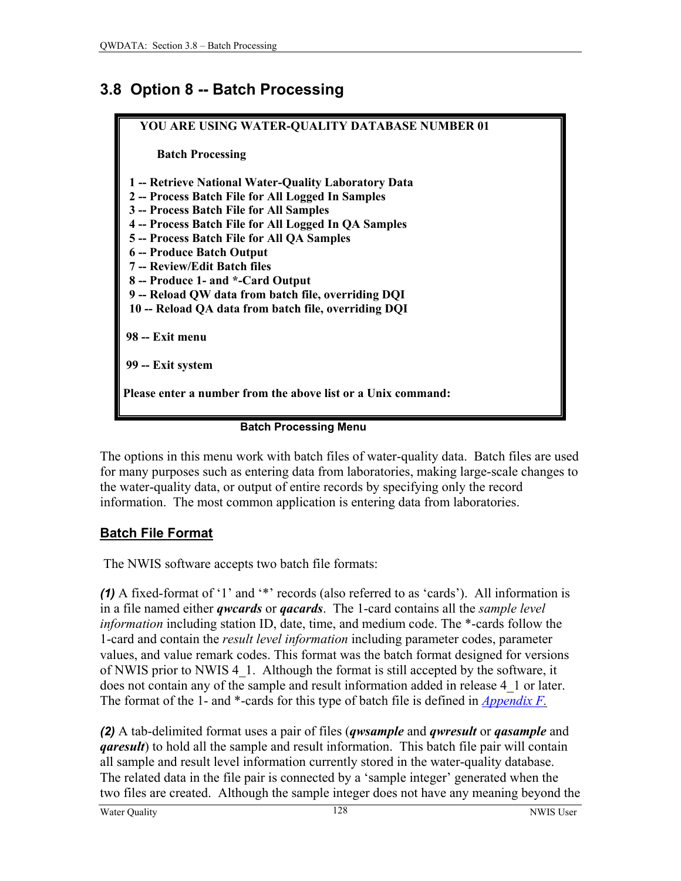# <span id="page-0-0"></span>**3.8 Option 8 -- Batch Processing**



#### **Batch Processing Menu**

The options in this menu work with batch files of water-quality data. Batch files are used for many purposes such as entering data from laboratories, making large-scale changes to the water-quality data, or output of entire records by specifying only the record information. The most common application is entering data from laboratories.

### **Batch File Format**

The NWIS software accepts two batch file formats:

*(1)* A fixed-format of '1' and '\*' records (also referred to as 'cards'). All information is in a file named either *qwcards* or *qacards*. The 1-card contains all the *sample level information* including station ID, date, time, and medium code. The \*-cards follow the 1-card and contain the *result level information* including parameter codes, parameter values, and value remark codes. This format was the batch format designed for versions of NWIS prior to NWIS 4\_1. Although the format is still accepted by the software, it does not contain any of the sample and result information added in release 4\_1 or later. The format of the 1- and \*-cards for this type of batch file is defined in *Appendix F.*

*(2)* A tab-delimited format uses a pair of files (*qwsample* and *qwresult* or *qasample* and *garesult*) to hold all the sample and result information. This batch file pair will contain all sample and result level information currently stored in the water-quality database. The related data in the file pair is connected by a 'sample integer' generated when the two files are created. Although the sample integer does not have any meaning beyond the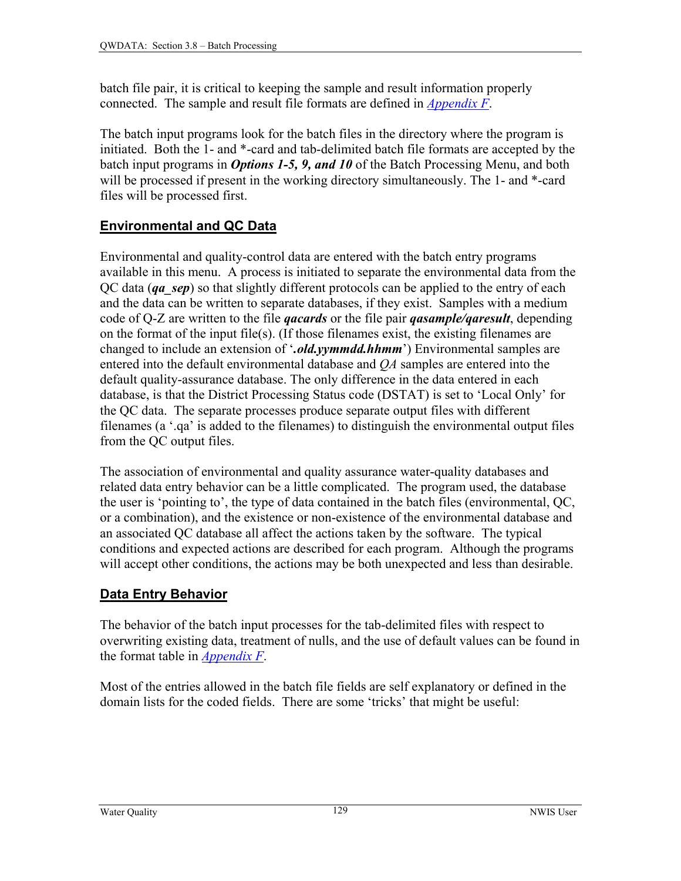batch file pair, it is critical to keeping the sample and result information properly connected. The sample and result file formats are defined in *[Appendix F](#page-0-0)*.

The batch input programs look for the batch files in the directory where the program is initiated. Both the 1- and \*-card and tab-delimited batch file formats are accepted by the batch input programs in *Options 1-5, 9, and 10* of the Batch Processing Menu, and both will be processed if present in the working directory simultaneously. The 1- and  $*$ -card files will be processed first.

## **Environmental and QC Data**

Environmental and quality-control data are entered with the batch entry programs available in this menu. A process is initiated to separate the environmental data from the QC data (*qa\_sep*) so that slightly different protocols can be applied to the entry of each and the data can be written to separate databases, if they exist. Samples with a medium code of Q-Z are written to the file *qacards* or the file pair *qasample/qaresult*, depending on the format of the input file(s). (If those filenames exist, the existing filenames are changed to include an extension of '*.old.yymmdd.hhmm*') Environmental samples are entered into the default environmental database and *QA* samples are entered into the default quality-assurance database. The only difference in the data entered in each database, is that the District Processing Status code (DSTAT) is set to 'Local Only' for the QC data. The separate processes produce separate output files with different filenames (a '.qa' is added to the filenames) to distinguish the environmental output files from the QC output files.

The association of environmental and quality assurance water-quality databases and related data entry behavior can be a little complicated. The program used, the database the user is 'pointing to', the type of data contained in the batch files (environmental, QC, or a combination), and the existence or non-existence of the environmental database and an associated QC database all affect the actions taken by the software. The typical conditions and expected actions are described for each program. Although the programs will accept other conditions, the actions may be both unexpected and less than desirable.

# **Data Entry Behavior**

The behavior of the batch input processes for the tab-delimited files with respect to overwriting existing data, treatment of nulls, and the use of default values can be found in the format table in *[Appendix F](#page-0-0)*.

Most of the entries allowed in the batch file fields are self explanatory or defined in the domain lists for the coded fields. There are some 'tricks' that might be useful: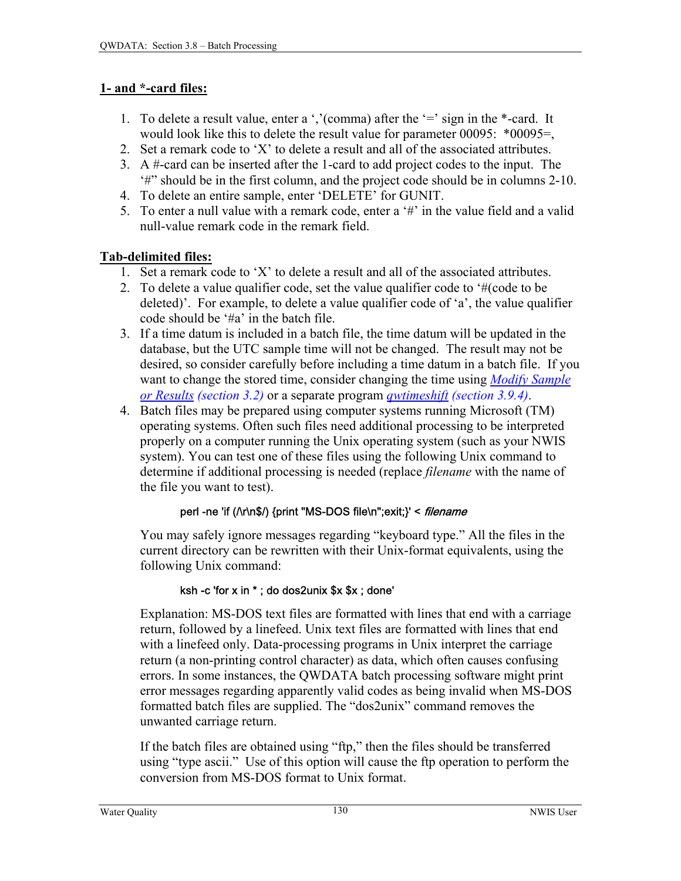### **1- and \*-card files:**

- 1. To delete a result value, enter a ','(comma) after the '=' sign in the \*-card. It would look like this to delete the result value for parameter 00095: \*00095=,
- 2. Set a remark code to 'X' to delete a result and all of the associated attributes.
- 3. A #-card can be inserted after the 1-card to add project codes to the input. The '#" should be in the first column, and the project code should be in columns 2-10.
- 4. To delete an entire sample, enter 'DELETE' for GUNIT.
- 5. To enter a null value with a remark code, enter a '#' in the value field and a valid null-value remark code in the remark field.

### **Tab-delimited files:**

- 1. Set a remark code to 'X' to delete a result and all of the associated attributes.
- 2. To delete a value qualifier code, set the value qualifier code to '#(code to be deleted)'. For example, to delete a value qualifier code of 'a', the value qualifier code should be '#a' in the batch file.
- 3. If a time datum is included in a batch file, the time datum will be updated in the database, but the UTC sample time will not be changed. The result may not be desired, so consider carefully before including a time datum in a batch file. If you want to change the stored time, consider changing the time using *[Modify Sample](#page-5-0)  [or Results \(section 3.2\)](#page-5-0)* or a separate program *[qwtimeshift \(section 3.9.4\)](#page-5-0)*.
- 4. Batch files may be prepared using computer systems running Microsoft (TM) operating systems. Often such files need additional processing to be interpreted properly on a computer running the Unix operating system (such as your NWIS system). You can test one of these files using the following Unix command to determine if additional processing is needed (replace *filename* with the name of the file you want to test).

### perl -ne 'if (/\r\n\$/) {print "MS-DOS file\n";exit;}' < filename

You may safely ignore messages regarding "keyboard type." All the files in the current directory can be rewritten with their Unix-format equivalents, using the following Unix command:

### ksh -c 'for x in \* ; do dos2unix \$x \$x ; done'

Explanation: MS-DOS text files are formatted with lines that end with a carriage return, followed by a linefeed. Unix text files are formatted with lines that end with a linefeed only. Data-processing programs in Unix interpret the carriage return (a non-printing control character) as data, which often causes confusing errors. In some instances, the QWDATA batch processing software might print error messages regarding apparently valid codes as being invalid when MS-DOS formatted batch files are supplied. The "dos2unix" command removes the unwanted carriage return.

If the batch files are obtained using "ftp," then the files should be transferred using "type ascii." Use of this option will cause the ftp operation to perform the conversion from MS-DOS format to Unix format.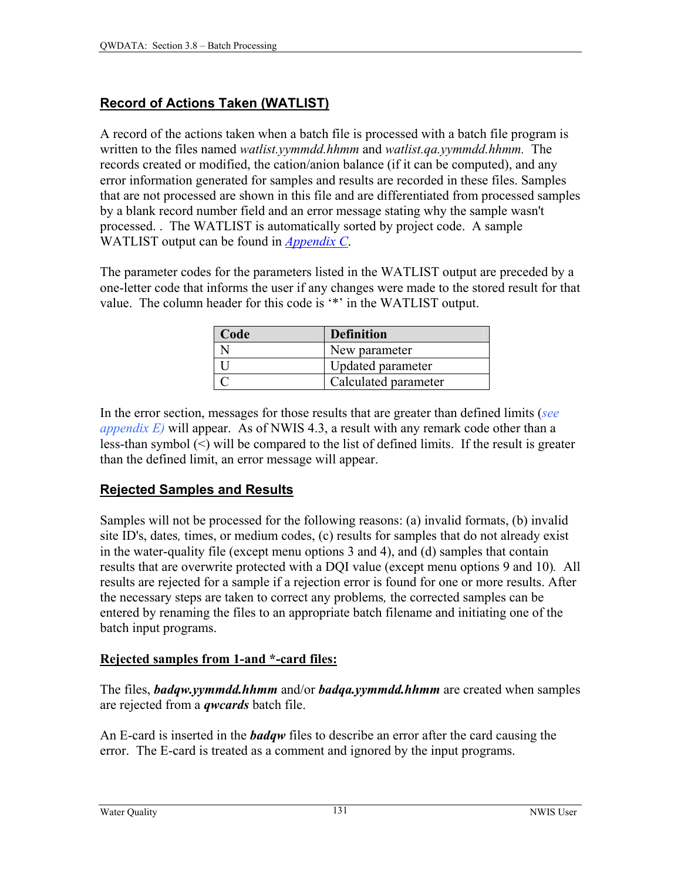### **Record of Actions Taken (WATLIST)**

A record of the actions taken when a batch file is processed with a batch file program is written to the files named *watlist.yymmdd.hhmm* and *watlist.qa.yymmdd.hhmm.* The records created or modified, the cation/anion balance (if it can be computed), and any error information generated for samples and results are recorded in these files. Samples that are not processed are shown in this file and are differentiated from processed samples by a blank record number field and an error message stating why the sample wasn't processed. . The WATLIST is automatically sorted by project code. A sample WATLIST output can be found in *[Appendix C](#page-0-0)*.

The parameter codes for the parameters listed in the WATLIST output are preceded by a one-letter code that informs the user if any changes were made to the stored result for that value. The column header for this code is '\*' in the WATLIST output.

| Code | <b>Definition</b>    |
|------|----------------------|
|      | New parameter        |
|      | Updated parameter    |
|      | Calculated parameter |

In the error section, messages for those results that are greater than defined limits (*[see](#page-0-0)  [appendix E\)](#page-0-0)* will appear. As of NWIS 4.3, a result with any remark code other than a less-than symbol (<) will be compared to the list of defined limits. If the result is greater than the defined limit, an error message will appear.

### **Rejected Samples and Results**

Samples will not be processed for the following reasons: (a) invalid formats, (b) invalid site ID's, dates*,* times, or medium codes, (c) results for samples that do not already exist in the water-quality file (except menu options 3 and 4), and (d) samples that contain results that are overwrite protected with a DQI value (except menu options 9 and 10)*.* All results are rejected for a sample if a rejection error is found for one or more results. After the necessary steps are taken to correct any problems*,* the corrected samples can be entered by renaming the files to an appropriate batch filename and initiating one of the batch input programs.

### **Rejected samples from 1-and \*-card files:**

The files, *badqw.yymmdd.hhmm* and/or *badqa.yymmdd.hhmm* are created when samples are rejected from a *qwcards* batch file.

An E-card is inserted in the *badqw* files to describe an error after the card causing the error. The E-card is treated as a comment and ignored by the input programs.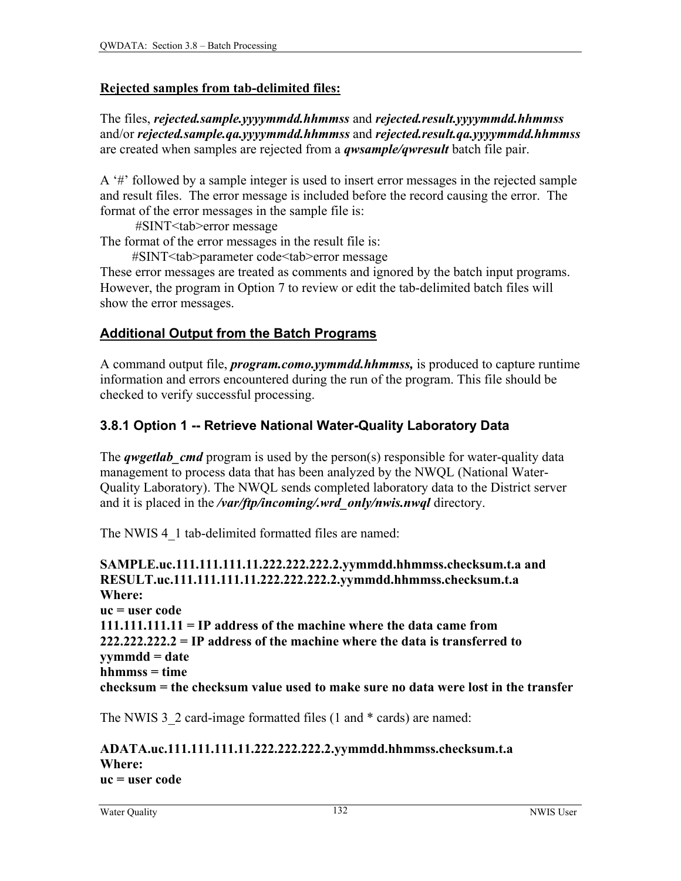#### **Rejected samples from tab-delimited files:**

The files, *rejected.sample.yyyymmdd.hhmmss* and *rejected.result.yyyymmdd.hhmmss* and/or *rejected.sample.qa.yyyymmdd.hhmmss* and *rejected.result.qa.yyyymmdd.hhmmss* are created when samples are rejected from a *qwsample/qwresult* batch file pair.

A '#' followed by a sample integer is used to insert error messages in the rejected sample and result files. The error message is included before the record causing the error. The format of the error messages in the sample file is:

#SINT<tab>error message

The format of the error messages in the result file is:

#SINT<tab>parameter code<tab>error message

These error messages are treated as comments and ignored by the batch input programs. However, the program in Option 7 to review or edit the tab-delimited batch files will show the error messages.

### **Additional Output from the Batch Programs**

A command output file, *program.como.yymmdd.hhmmss,* is produced to capture runtime information and errors encountered during the run of the program. This file should be checked to verify successful processing.

#### **3.8.1 Option 1 -- Retrieve National Water-Quality Laboratory Data**

The *qwgetlab cmd* program is used by the person(s) responsible for water-quality data management to process data that has been analyzed by the NWQL (National Water-Quality Laboratory). The NWQL sends completed laboratory data to the District server and it is placed in the */var/ftp/incoming/.wrd\_only/nwis.nwql* directory.

The NWIS 4 1 tab-delimited formatted files are named:

**SAMPLE.uc.111.111.111.11.222.222.222.2.yymmdd.hhmmss.checksum.t.a and RESULT.uc.111.111.111.11.222.222.222.2.yymmdd.hhmmss.checksum.t.a Where: uc = user code 111.111.111.11 = IP address of the machine where the data came from 222.222.222.2 = IP address of the machine where the data is transferred to yymmdd = date hhmmss = time checksum = the checksum value used to make sure no data were lost in the transfer**

The NWIS 3 2 card-image formatted files (1 and  $*$  cards) are named:

#### **ADATA.uc.111.111.111.11.222.222.222.2.yymmdd.hhmmss.checksum.t.a Where: uc = user code**

Water Quality 132 NWIS User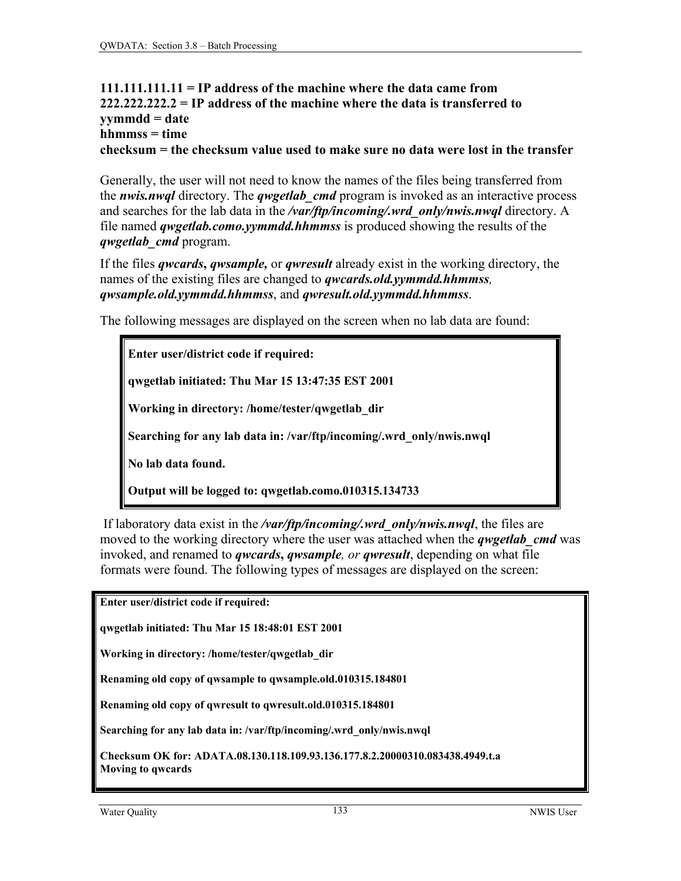#### <span id="page-5-0"></span>**111.111.111.11 = IP address of the machine where the data came from 222.222.222.2 = IP address of the machine where the data is transferred to yymmdd = date hhmmss = time checksum = the checksum value used to make sure no data were lost in the transfer**

Generally, the user will not need to know the names of the files being transferred from the *nwis.nwql* directory. The *qwgetlab\_cmd* program is invoked as an interactive process and searches for the lab data in the */var/ftp/incoming/.wrd\_only/nwis.nwql* directory. A file named *qwgetlab.como.yymmdd.hhmmss* is produced showing the results of the *qwgetlab\_cmd* program.

If the files *qwcards***,** *qwsample,* or *qwresult* already exist in the working directory, the names of the existing files are changed to *qwcards.old.yymmdd.hhmmss, qwsample.old.yymmdd.hhmmss*, and *qwresult.old.yymmdd.hhmmss*.

The following messages are displayed on the screen when no lab data are found:

**Enter user/district code if required:** 

**qwgetlab initiated: Thu Mar 15 13:47:35 EST 2001** 

**Working in directory: /home/tester/qwgetlab\_dir** 

**Searching for any lab data in: /var/ftp/incoming/.wrd\_only/nwis.nwql** 

**No lab data found.** 

**Output will be logged to: qwgetlab.como.010315.134733** 

 If laboratory data exist in the */var/ftp/incoming/.wrd\_only/nwis.nwql*, the files are moved to the working directory where the user was attached when the *qwgetlab\_cmd* was invoked, and renamed to *qwcards***,** *qwsample, or qwresult*, depending on what file formats were found. The following types of messages are displayed on the screen:

**Enter user/district code if required:** 

**qwgetlab initiated: Thu Mar 15 18:48:01 EST 2001** 

**Working in directory: /home/tester/qwgetlab\_dir** 

**Renaming old copy of qwsample to qwsample.old.010315.184801** 

**Renaming old copy of qwresult to qwresult.old.010315.184801** 

**Searching for any lab data in: /var/ftp/incoming/.wrd\_only/nwis.nwql** 

**Checksum OK for: ADATA.08.130.118.109.93.136.177.8.2.20000310.083438.4949.t.a Moving to qwcards**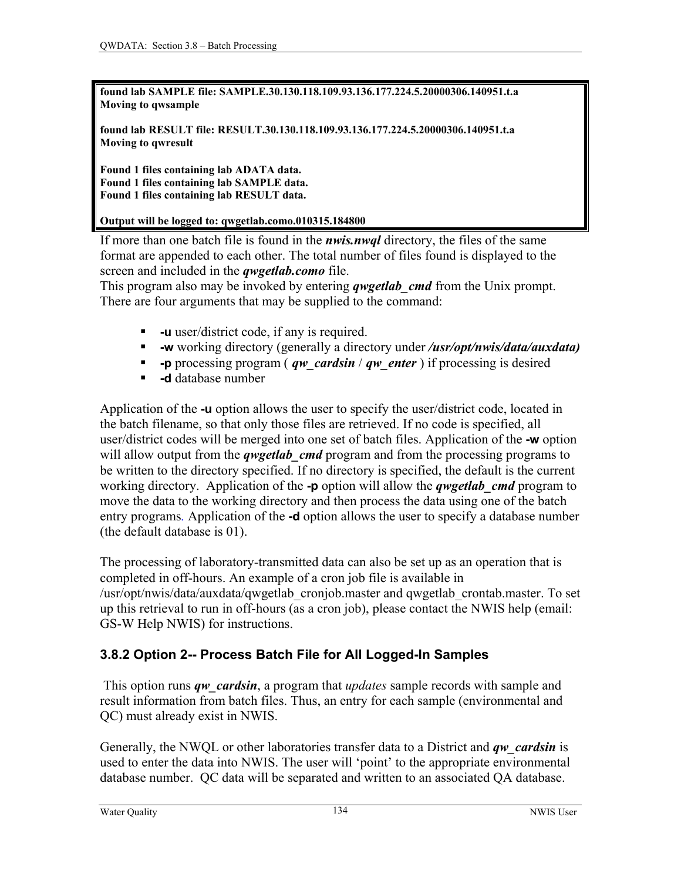**found lab SAMPLE file: SAMPLE.30.130.118.109.93.136.177.224.5.20000306.140951.t.a Moving to qwsample** 

**found lab RESULT file: RESULT.30.130.118.109.93.136.177.224.5.20000306.140951.t.a Moving to qwresult** 

**Found 1 files containing lab ADATA data. Found 1 files containing lab SAMPLE data. Found 1 files containing lab RESULT data.** 

**Output will be logged to: qwgetlab.como.010315.184800** 

If more than one batch file is found in the *nwis.nwql* directory, the files of the same format are appended to each other. The total number of files found is displayed to the screen and included in the *qwgetlab.como* file.

This program also may be invoked by entering *qwgetlab\_cmd* from the Unix prompt. There are four arguments that may be supplied to the command:

- **-u** user/district code, if any is required.
- **-w** working directory (generally a directory under */usr/opt/nwis/data/auxdata)*
- **-p** processing program ( *qw\_cardsin* / *qw\_enter* ) if processing is desired
- **-d** database number

Application of the **-u** option allows the user to specify the user/district code, located in the batch filename, so that only those files are retrieved. If no code is specified, all user/district codes will be merged into one set of batch files. Application of the **-w** option will allow output from the *qwgetlab cmd* program and from the processing programs to be written to the directory specified. If no directory is specified, the default is the current working directory. Application of the **-p** option will allow the *qwgetlab\_cmd* program to move the data to the working directory and then process the data using one of the batch entry programs*.* Application of the **-d** option allows the user to specify a database number (the default database is 01).

The processing of laboratory-transmitted data can also be set up as an operation that is completed in off-hours. An example of a cron job file is available in /usr/opt/nwis/data/auxdata/qwgetlab\_cronjob.master and qwgetlab\_crontab.master. To set up this retrieval to run in off-hours (as a cron job), please contact the NWIS help (email: GS-W Help NWIS) for instructions.

### **3.8.2 Option 2-- Process Batch File for All Logged-In Samples**

 This option runs *qw\_cardsin*, a program that *updates* sample records with sample and result information from batch files. Thus, an entry for each sample (environmental and QC) must already exist in NWIS.

Generally, the NWQL or other laboratories transfer data to a District and *qw\_cardsin* is used to enter the data into NWIS. The user will 'point' to the appropriate environmental database number. QC data will be separated and written to an associated QA database.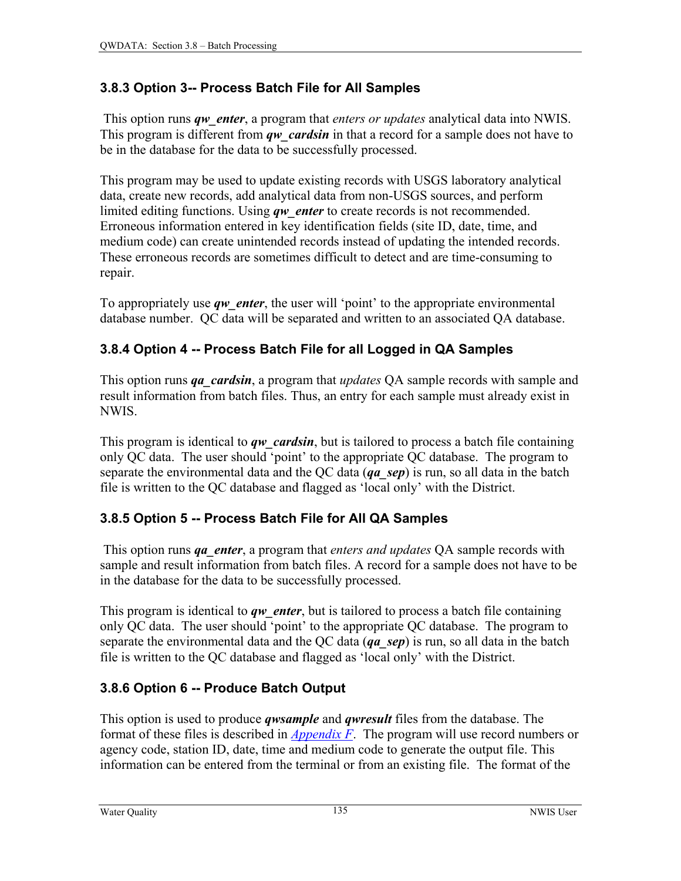### **3.8.3 Option 3-- Process Batch File for All Samples**

 This option runs *qw\_enter*, a program that *enters or updates* analytical data into NWIS. This program is different from *qw* cardsin in that a record for a sample does not have to be in the database for the data to be successfully processed.

This program may be used to update existing records with USGS laboratory analytical data, create new records, add analytical data from non-USGS sources, and perform limited editing functions. Using *qw\_enter* to create records is not recommended. Erroneous information entered in key identification fields (site ID, date, time, and medium code) can create unintended records instead of updating the intended records. These erroneous records are sometimes difficult to detect and are time-consuming to repair.

To appropriately use *qw* enter, the user will 'point' to the appropriate environmental database number. QC data will be separated and written to an associated QA database.

## **3.8.4 Option 4 -- Process Batch File for all Logged in QA Samples**

This option runs *qa\_cardsin*, a program that *updates* QA sample records with sample and result information from batch files. Thus, an entry for each sample must already exist in NWIS.

This program is identical to *qw* cardsin, but is tailored to process a batch file containing only QC data. The user should 'point' to the appropriate QC database. The program to separate the environmental data and the QC data (*qa\_sep*) is run, so all data in the batch file is written to the QC database and flagged as 'local only' with the District.

## **3.8.5 Option 5 -- Process Batch File for All QA Samples**

 This option runs *qa\_enter*, a program that *enters and updates* QA sample records with sample and result information from batch files. A record for a sample does not have to be in the database for the data to be successfully processed.

This program is identical to *qw\_enter*, but is tailored to process a batch file containing only QC data. The user should 'point' to the appropriate QC database. The program to separate the environmental data and the QC data (*qa\_sep*) is run, so all data in the batch file is written to the QC database and flagged as 'local only' with the District.

# **3.8.6 Option 6 -- Produce Batch Output**

This option is used to produce *qwsample* and *qwresult* files from the database. The format of these files is described in *[Appendix F](#page-0-0)*. The program will use record numbers or agency code, station ID, date, time and medium code to generate the output file. This information can be entered from the terminal or from an existing file. The format of the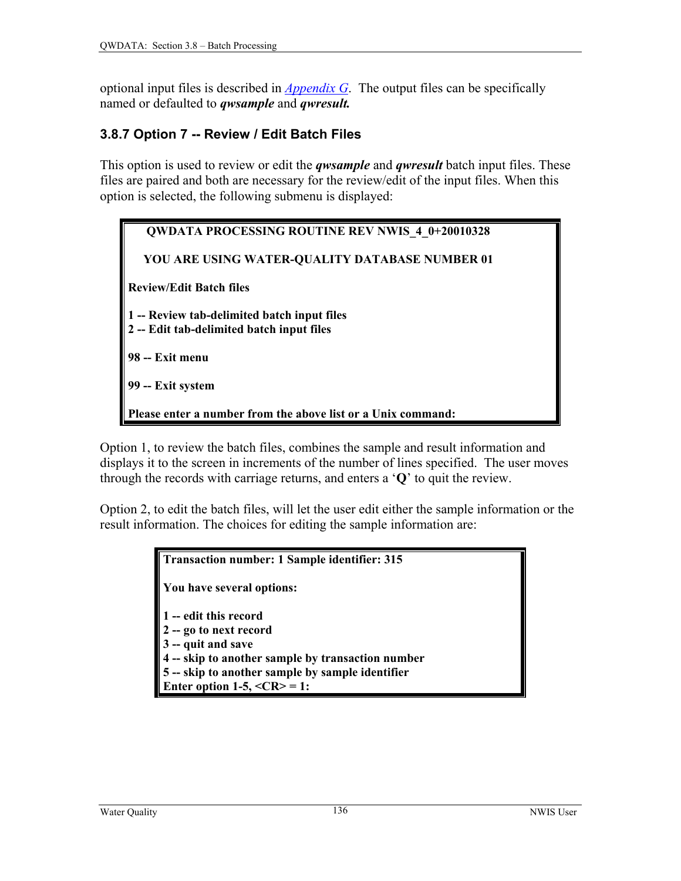optional input files is described in *[Appendix G](#page-0-0)*. The output files can be specifically named or defaulted to *qwsample* and *qwresult.* 

#### **3.8.7 Option 7 -- Review / Edit Batch Files**

This option is used to review or edit the *qwsample* and *qwresult* batch input files. These files are paired and both are necessary for the review/edit of the input files. When this option is selected, the following submenu is displayed:

| <b>QWDATA PROCESSING ROUTINE REV NWIS 4 0+20010328</b>                                   |
|------------------------------------------------------------------------------------------|
| YOU ARE USING WATER-QUALITY DATABASE NUMBER 01                                           |
| <b>Review/Edit Batch files</b>                                                           |
| 1 -- Review tab-delimited batch input files<br>2 -- Edit tab-delimited batch input files |
| 98 -- Exit menu                                                                          |
| 99 -- Exit system                                                                        |
| Please enter a number from the above list or a Unix command:                             |

Option 1, to review the batch files, combines the sample and result information and displays it to the screen in increments of the number of lines specified. The user moves through the records with carriage returns, and enters a '**Q**' to quit the review.

Option 2, to edit the batch files, will let the user edit either the sample information or the result information. The choices for editing the sample information are:

> **Transaction number: 1 Sample identifier: 315 You have several options: 1 -- edit this record 2 -- go to next record 3 -- quit and save 4 -- skip to another sample by transaction number 5 -- skip to another sample by sample identifier Enter option 1-5,**  $\langle CR \rangle = 1$ **:**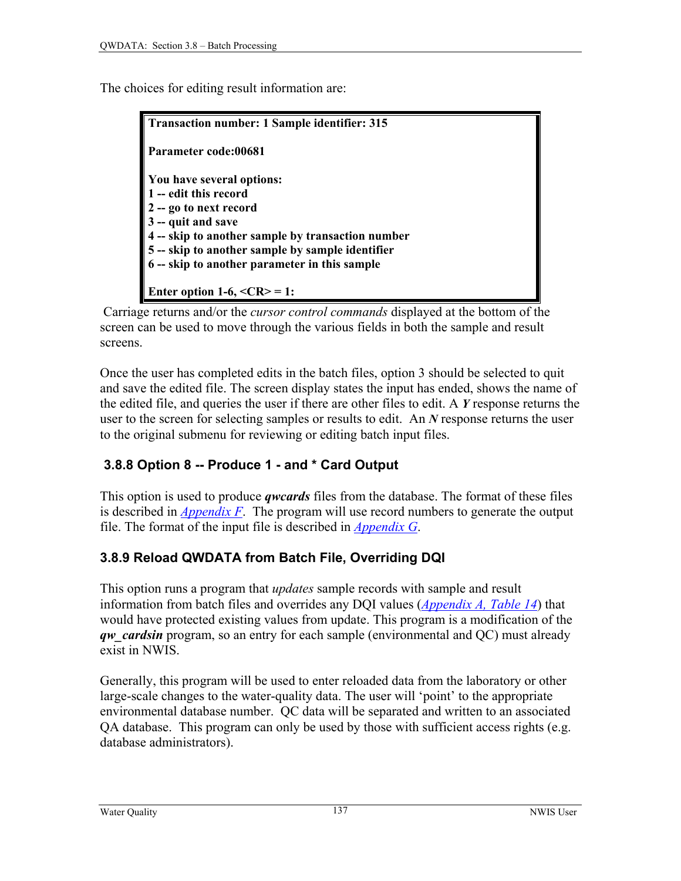The choices for editing result information are:

| Transaction number: 1 Sample identifier: 315      |  |
|---------------------------------------------------|--|
| Parameter code:00681                              |  |
| You have several options:                         |  |
| 1 -- edit this record                             |  |
| 2 -- go to next record                            |  |
| 3 -- quit and save                                |  |
| 4 -- skip to another sample by transaction number |  |
| 5 -- skip to another sample by sample identifier  |  |
| 6 -- skip to another parameter in this sample     |  |
|                                                   |  |
| Enter option 1-6, $\langle CR \rangle = 1$ :      |  |

 Carriage returns and/or the *cursor control commands* displayed at the bottom of the screen can be used to move through the various fields in both the sample and result screens.

Once the user has completed edits in the batch files, option 3 should be selected to quit and save the edited file. The screen display states the input has ended, shows the name of the edited file, and queries the user if there are other files to edit. A *Y* response returns the user to the screen for selecting samples or results to edit. An *N* response returns the user to the original submenu for reviewing or editing batch input files.

## **3.8.8 Option 8 -- Produce 1 - and \* Card Output**

This option is used to produce *qwcards* files from the database. The format of these files is described in *[Appendix F](#page-0-0)*. The program will use record numbers to generate the output file. The format of the input file is described in *[Appendix G](#page-0-0)*.

### **3.8.9 Reload QWDATA from Batch File, Overriding DQI**

This option runs a program that *updates* sample records with sample and result information from batch files and overrides any DQI values (*[Appendix A, Table 14](#page-13-0)*) that would have protected existing values from update. This program is a modification of the *qw* cardsin program, so an entry for each sample (environmental and QC) must already exist in NWIS.

Generally, this program will be used to enter reloaded data from the laboratory or other large-scale changes to the water-quality data. The user will 'point' to the appropriate environmental database number. QC data will be separated and written to an associated QA database. This program can only be used by those with sufficient access rights (e.g. database administrators).